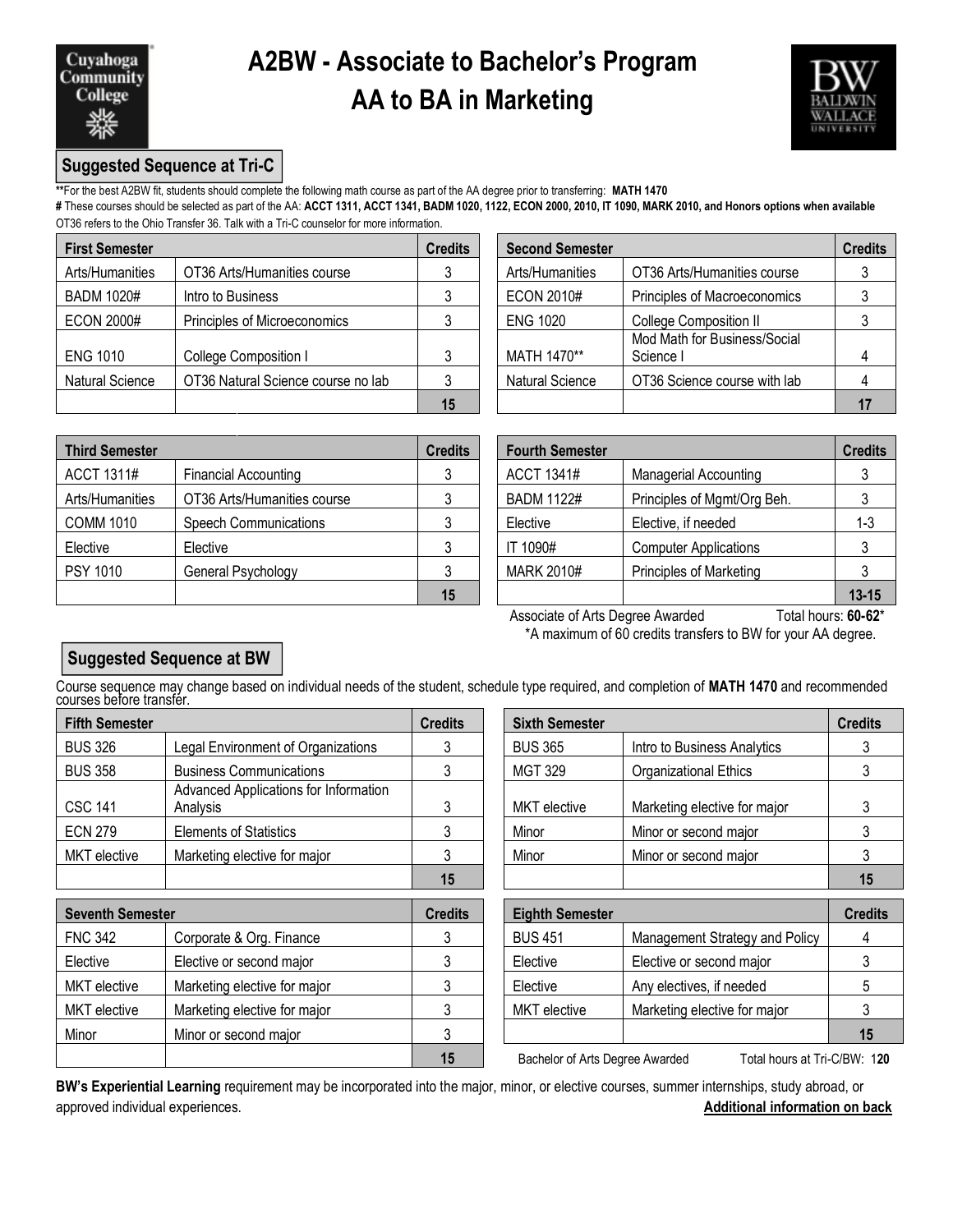

## **A2BW - Associate to Bachelor's Program AA to BA in Marketing**



### **Suggested Sequence at Tri-C**

**\*\***For the best A2BW fit, students should complete the following math course as part of the AA degree prior to transferring: **MATH 1470**

**#** These courses should be selected as part of the AA: **ACCT 1311, ACCT 1341, BADM 1020, 1122, ECON 2000, 2010, IT 1090, MARK 2010, and Honors options when available**  OT36 refers to the Ohio Transfer 36. Talk with a Tri-C counselor for more information.

| <b>First Semester</b>  |                                    | <b>Credits</b> | <b>Second Semester</b> |                                         | <b>Credits</b> |
|------------------------|------------------------------------|----------------|------------------------|-----------------------------------------|----------------|
| Arts/Humanities        | OT36 Arts/Humanities course        |                | Arts/Humanities        | OT36 Arts/Humanities course             |                |
| <b>BADM 1020#</b>      | Intro to Business                  |                | <b>ECON 2010#</b>      | Principles of Macroeconomics            |                |
| <b>ECON 2000#</b>      | Principles of Microeconomics       |                | <b>ENG 1020</b>        | College Composition II                  |                |
| <b>ENG 1010</b>        | College Composition I              |                | MATH 1470**            | Mod Math for Business/Social<br>Science |                |
| <b>Natural Science</b> | OT36 Natural Science course no lab |                | <b>Natural Science</b> | OT36 Science course with lab            |                |
|                        |                                    | 15             |                        |                                         |                |

| edits | <b>Second Semester</b> |                                           | <b>Credits</b> |
|-------|------------------------|-------------------------------------------|----------------|
| 3     | Arts/Humanities        | OT36 Arts/Humanities course               |                |
| 3     | <b>ECON 2010#</b>      | Principles of Macroeconomics              |                |
| 3     | <b>ENG 1020</b>        | <b>College Composition II</b>             |                |
| 3     | MATH 1470**            | Mod Math for Business/Social<br>Science I |                |
| 3     | <b>Natural Science</b> | OT36 Science course with lab              |                |
| 15    |                        |                                           |                |

| <b>Third Semester</b> |                              | <b>Credits</b> | <b>Fourth Semester</b> |                              | <b>Credits</b> |
|-----------------------|------------------------------|----------------|------------------------|------------------------------|----------------|
| ACCT 1311#            | <b>Financial Accounting</b>  |                | ACCT 1341#             | <b>Managerial Accounting</b> |                |
| Arts/Humanities       | OT36 Arts/Humanities course  |                | <b>BADM 1122#</b>      | Principles of Mgmt/Org Beh.  |                |
| <b>COMM 1010</b>      | <b>Speech Communications</b> |                | Elective               | Elective, if needed          | 1-3            |
| Elective              | Elective                     |                | IT 1090#               | <b>Computer Applications</b> |                |
| <b>PSY 1010</b>       | General Psychology           |                | MARK 2010#             | Principles of Marketing      |                |
|                       |                              | 15             |                        |                              | $13 - 15$      |

| edits        | <b>Fourth Semester</b> |                                | <b>Credits</b> |
|--------------|------------------------|--------------------------------|----------------|
| 3            | <b>ACCT 1341#</b>      | <b>Managerial Accounting</b>   |                |
| $\mathbf{3}$ | <b>BADM 1122#</b>      | Principles of Mgmt/Org Beh.    |                |
| 3            | Elective               | Elective, if needed            | $1 - 3$        |
| 3            | IT 1090#               | <b>Computer Applications</b>   |                |
| 3            | <b>MARK 2010#</b>      | <b>Principles of Marketing</b> |                |
| 15           |                        |                                | $13 - 15$      |

Associate of Arts Degree Awarded Total hours: 60-62\* \*A maximum of 60 credits transfers to BW for your AA degree.

### **Suggested Sequence at BW**

Course sequence may change based on individual needs of the student, schedule type required, and completion of **MATH 1470** and recommended courses before transfer.

| <b>Fifth Semester</b> |                                                   | <b>Credits</b> | <b>Sixth Semester</b> |                              |                |  |
|-----------------------|---------------------------------------------------|----------------|-----------------------|------------------------------|----------------|--|
| <b>BUS 326</b>        | Legal Environment of Organizations                |                | <b>BUS 365</b>        | Intro to Business Analytics  |                |  |
| <b>BUS 358</b>        | <b>Business Communications</b>                    |                | MGT 329               | <b>Organizational Ethics</b> |                |  |
| <b>CSC 141</b>        | Advanced Applications for Information<br>Analysis |                | MKT elective          | Marketing elective for major |                |  |
| <b>ECN 279</b>        | <b>Elements of Statistics</b>                     |                | Minor                 | Minor or second major        |                |  |
| <b>MKT</b> elective   | Marketing elective for major                      |                | Minor                 | Minor or second major        |                |  |
|                       |                                                   | 4 <sub>5</sub> |                       |                              | 4 <sub>5</sub> |  |

| <b>Seventh Semester</b> |                              | <b>Credits</b> | <b>Eighth Semester</b>          |                                | <b>Credits</b> |
|-------------------------|------------------------------|----------------|---------------------------------|--------------------------------|----------------|
| <b>FNC 342</b>          | Corporate & Org. Finance     |                | <b>BUS 451</b>                  | Management Strategy and Policy |                |
| Elective                | Elective or second major     |                | Elective                        | Elective or second major       |                |
| MKT elective            | Marketing elective for major |                | Elective                        | Any electives, if needed       |                |
| MKT elective            | Marketing elective for major |                | MKT elective                    | Marketing elective for major   |                |
| Minor                   | Minor or second major        |                |                                 |                                | 15             |
|                         |                              | 15             | Bachelor of Arts Degree Awarded | Total hours at Tri-C/RW: 120   |                |

|                                                   | <b>Credits</b> | <b>Sixth Semester</b> |                              | <b>Credits</b> |
|---------------------------------------------------|----------------|-----------------------|------------------------------|----------------|
| Legal Environment of Organizations                |                | <b>BUS 365</b>        | Intro to Business Analytics  |                |
| <b>Business Communications</b>                    |                | <b>MGT 329</b>        | <b>Organizational Ethics</b> |                |
| Advanced Applications for Information<br>Analysis | 3              | <b>MKT</b> elective   | Marketing elective for major |                |
| <b>Elements of Statistics</b>                     |                | Minor                 | Minor or second major        |                |
| Marketing elective for major                      |                | Minor                 | Minor or second major        |                |
|                                                   | 15             |                       |                              | 15             |

| <b>Eighth Semester</b> |                                | <b>Credits</b> |
|------------------------|--------------------------------|----------------|
| <b>BUS 451</b>         | Management Strategy and Policy |                |
| Elective               | Elective or second major       |                |
| Elective               | Any electives, if needed       | 5              |
| <b>MKT</b> elective    | Marketing elective for major   |                |
|                        |                                | 15             |

**15** Bachelor of Arts Degree Awarded Total hours at Tri-C/BW: 1**20**

**BW's Experiential Learning** requirement may be incorporated into the major, minor, or elective courses, summer internships, study abroad, or approved individual experiences. **Additional information on back**